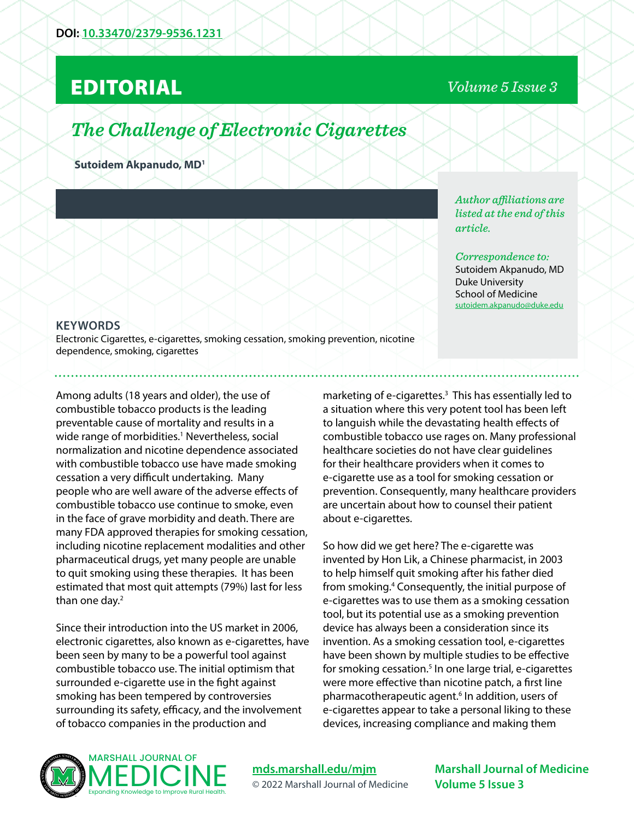## EDITORIAL

### *Volume 5 Issue 3*

# *The Challenge of Electronic Cigarettes*

**Sutoidem Akpanudo, MD1**

#### **KEYWORDS**

Electronic Cigarettes, e-cigarettes, smoking cessation, smoking prevention, nicotine dependence, smoking, cigarettes

Among adults (18 years and older), the use of combustible tobacco products is the leading preventable cause of mortality and results in a wide range of morbidities.<sup>1</sup> Nevertheless, social normalization and nicotine dependence associated with combustible tobacco use have made smoking cessation a very difficult undertaking. Many people who are well aware of the adverse effects of combustible tobacco use continue to smoke, even in the face of grave morbidity and death. There are many FDA approved therapies for smoking cessation, including nicotine replacement modalities and other pharmaceutical drugs, yet many people are unable to quit smoking using these therapies. It has been estimated that most quit attempts (79%) last for less than one day.<sup>2</sup>

Since their introduction into the US market in 2006, electronic cigarettes, also known as e-cigarettes, have been seen by many to be a powerful tool against combustible tobacco use. The initial optimism that surrounded e-cigarette use in the fight against smoking has been tempered by controversies surrounding its safety, efficacy, and the involvement of tobacco companies in the production and

*Author affiliations are listed at the end of this article.* 

*Correspondence to:*  Sutoidem Akpanudo, MD Duke University School of Medicine sutoidem.akpanudo@duke.edu

marketing of e-cigarettes.3 This has essentially led to a situation where this very potent tool has been left to languish while the devastating health effects of combustible tobacco use rages on. Many professional healthcare societies do not have clear guidelines for their healthcare providers when it comes to e-cigarette use as a tool for smoking cessation or prevention. Consequently, many healthcare providers are uncertain about how to counsel their patient about e-cigarettes.

So how did we get here? The e-cigarette was invented by Hon Lik, a Chinese pharmacist, in 2003 to help himself quit smoking after his father died from smoking.4 Consequently, the initial purpose of e-cigarettes was to use them as a smoking cessation tool, but its potential use as a smoking prevention device has always been a consideration since its invention. As a smoking cessation tool, e-cigarettes have been shown by multiple studies to be effective for smoking cessation.<sup>5</sup> In one large trial, e-cigarettes were more effective than nicotine patch, a first line pharmacotherapeutic agent.6 In addition, users of e-cigarettes appear to take a personal liking to these devices, increasing compliance and making them



**[mds.marshall.edu/mjm](https://mds.marshall.edu/mjm/)** © 2022 Marshall Journal of Medicine

**Marshall Journal of Medicine Volume 5 Issue 3**